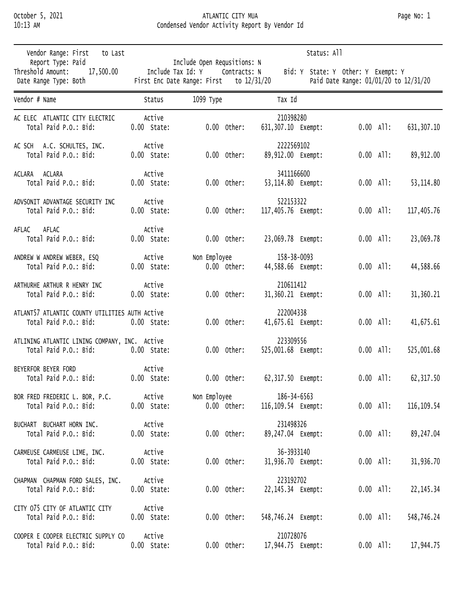## October 5, 2021 ATLANTIC CITY MUA Page No: 1 10:13 AM Condensed Vendor Activity Report By Vendor Id

| Vendor Range: First<br>to Last                                               |                         | Status: All                                                                                              |                                 |                                                                             |  |
|------------------------------------------------------------------------------|-------------------------|----------------------------------------------------------------------------------------------------------|---------------------------------|-----------------------------------------------------------------------------|--|
| Report Type: Paid<br>Threshold Amount:<br>17,500.00<br>Date Range Type: Both |                         | Include Open Requsitions: N<br>Include Tax Id: Y Contracts: N<br>First Enc Date Range: First to 12/31/20 |                                 | Bid: Y State: Y Other: Y Exempt: Y<br>Paid Date Range: 01/01/20 to 12/31/20 |  |
| Vendor # Name                                                                | Status                  | 1099 Туре                                                                                                | Tax Id                          |                                                                             |  |
| AC ELEC ATLANTIC CITY ELECTRIC                                               | Active                  | $0.00$ Other:                                                                                            | 210398280                       | $0.00$ All:                                                                 |  |
| Total Paid P.O.: Bid:                                                        | $0.00$ State:           |                                                                                                          | 631,307.10 Exempt:              | 631, 307.10                                                                 |  |
| AC SCH A.C. SCHULTES, INC.                                                   | Active                  | $0.00$ Other:                                                                                            | 2222569102                      | $0.00$ All:                                                                 |  |
| Total Paid P.O.: Bid:                                                        | $0.00$ State:           |                                                                                                          | 89,912.00 Exempt:               | 89,912.00                                                                   |  |
| ACLARA ACLARA                                                                | Active                  | $0.00$ Other:                                                                                            | 3411166600                      | $0.00$ All:                                                                 |  |
| Total Paid P.O.: Bid:                                                        | $0.00$ State:           |                                                                                                          | 53,114.80 Exempt:               | 53, 114.80                                                                  |  |
| ADVSONIT ADVANTAGE SECURITY INC                                              | Active                  | $0.00$ Other:                                                                                            | 522153322                       | $0.00$ All:                                                                 |  |
| Total Paid P.O.: Bid:                                                        | $0.00$ State:           |                                                                                                          | 117,405.76 Exempt:              | 117,405.76                                                                  |  |
| AFLAC<br>AFLAC<br>Total Paid P.O.: Bid:                                      | Active<br>$0.00$ State: | $0.00$ Other:                                                                                            | 23,069.78 Exempt:               | $0.00$ All:<br>23,069.78                                                    |  |
| ANDREW W ANDREW WEBER, ESQ                                                   | Active                  | Non Employee                                                                                             | 158-38-0093                     | $0.00$ All:                                                                 |  |
| Total Paid P.O.: Bid:                                                        | $0.00$ State:           | $0.00$ Other:                                                                                            | 44,588.66 Exempt:               | 44,588.66                                                                   |  |
| ARTHURHE ARTHUR R HENRY INC                                                  | Active                  | $0.00$ Other:                                                                                            | 210611412                       | $0.00$ All:                                                                 |  |
| Total Paid P.O.: Bid:                                                        | $0.00$ State:           |                                                                                                          | 31,360.21 Exempt:               | 31,360.21                                                                   |  |
| ATLANT57 ATLANTIC COUNTY UTILITIES AUTH ACtive<br>Total Paid P.O.: Bid:      | $0.00$ State:           | $0.00$ Other:                                                                                            | 222004338<br>41,675.61 Exempt:  | $0.00$ All:<br>41,675.61                                                    |  |
| ATLINING ATLANTIC LINING COMPANY, INC. Active<br>Total Paid P.O.: Bid:       | $0.00$ State:           | $0.00$ Other:                                                                                            | 223309556<br>525,001.68 Exempt: | $0.00$ All:<br>525,001.68                                                   |  |
| BEYERFOR BEYER FORD<br>Total Paid P.O.: Bid:                                 | Active<br>0.00 State:   | $0.00$ Other:                                                                                            | 62,317.50 Exempt:               | $0.00$ All:<br>62, 317.50                                                   |  |
| BOR FRED FREDERIC L. BOR, P.C.                                               | Active                  | Non Employee                                                                                             | 186-34-6563                     | $0.00$ All:                                                                 |  |
| Total Paid P.O.: Bid:                                                        | $0.00$ State:           | $0.00$ Other:                                                                                            | 116,109.54 Exempt:              | 116, 109.54                                                                 |  |
| BUCHART BUCHART HORN INC.                                                    | Active                  | $0.00$ Other:                                                                                            | 231498326                       | $0.00$ All:                                                                 |  |
| Total Paid P.O.: Bid:                                                        | $0.00$ State:           |                                                                                                          | 89,247.04 Exempt:               | 89,247.04                                                                   |  |
| CARMEUSE CARMEUSE LIME, INC.                                                 | Active                  | $0.00$ Other:                                                                                            | 36-3933140                      | $0.00$ All:                                                                 |  |
| Total Paid P.O.: Bid:                                                        | $0.00$ State:           |                                                                                                          | 31,936.70 Exempt:               | 31,936.70                                                                   |  |
| CHAPMAN CHAPMAN FORD SALES, INC.                                             | Active                  | $0.00$ Other:                                                                                            | 223192702                       | $0.00$ All:                                                                 |  |
| Total Paid P.O.: Bid:                                                        | $0.00$ State:           |                                                                                                          | 22,145.34 Exempt:               | 22, 145. 34                                                                 |  |
| CITY 075 CITY OF ATLANTIC CITY<br>Total Paid P.O.: Bid:                      | Active<br>$0.00$ State: | $0.00$ Other:                                                                                            | 548,746.24 Exempt:              | $0.00$ All:<br>548,746.24                                                   |  |
| COOPER E COOPER ELECTRIC SUPPLY CO                                           | Active                  | $0.00$ Other:                                                                                            | 210728076                       | $0.00$ All:                                                                 |  |
| Total Paid P.O.: Bid:                                                        | $0.00$ State:           |                                                                                                          | 17,944.75 Exempt:               | 17,944.75                                                                   |  |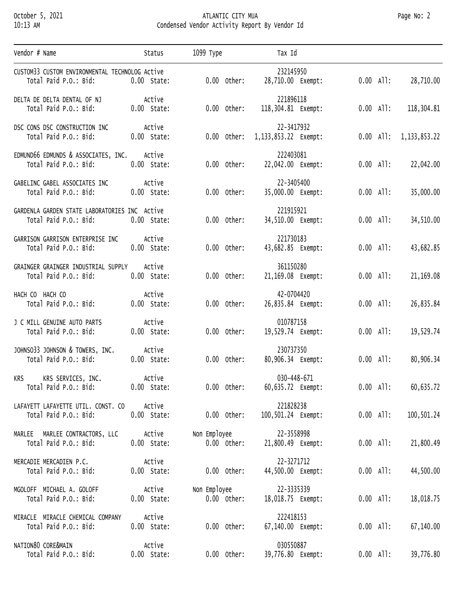## October 5, 2021 ATLANTIC CITY MUA Page No: 2 10:13 AM Condensed Vendor Activity Report By Vendor Id

| Vendor # Name                                                           | Status                  | 1099 Туре                     | Tax Id                             |             |                 |
|-------------------------------------------------------------------------|-------------------------|-------------------------------|------------------------------------|-------------|-----------------|
| CUSTOM33 CUSTOM ENVIRONMENTAL TECHNOLOG ACtive<br>Total Paid P.O.: Bid: | $0.00$ State:           | $0.00$ Other:                 | 232145950<br>28,710.00 Exempt:     | $0.00$ All: | 28,710.00       |
| DELTA DE DELTA DENTAL OF NJ<br>Total Paid P.O.: Bid:                    | Active<br>0.00 State:   | $0.00$ Other:                 | 221896118<br>118,304.81 Exempt:    | $0.00$ All: | 118,304.81      |
| DSC CONS DSC CONSTRUCTION INC<br>Total Paid P.O.: Bid:                  | Active<br>$0.00$ State: | $0.00$ Other:                 | 22-3417932<br>1,133,853.22 Exempt: | $0.00$ All: | 1, 133, 853. 22 |
| EDMUND66 EDMUNDS & ASSOCIATES, INC.<br>Total Paid P.O.: Bid:            | Active<br>$0.00$ State: | $0.00$ Other:                 | 222403081<br>22,042.00 Exempt:     | $0.00$ All: | 22,042.00       |
| GABELINC GABEL ASSOCIATES INC<br>Total Paid P.O.: Bid:                  | Active<br>$0.00$ State: | $0.00$ Other:                 | 22-3405400<br>35,000.00 Exempt:    | $0.00$ All: | 35,000.00       |
| GARDENLA GARDEN STATE LABORATORIES INC Active<br>Total Paid P.O.: Bid:  | $0.00$ State:           | $0.00$ Other:                 | 221915921<br>34,510.00 Exempt:     | $0.00$ All: | 34,510.00       |
| GARRISON GARRISON ENTERPRISE INC<br>Total Paid P.O.: Bid:               | Active<br>$0.00$ State: | $0.00$ Other:                 | 221730183<br>43,682.85 Exempt:     | $0.00$ All: | 43,682.85       |
| GRAINGER GRAINGER INDUSTRIAL SUPPLY<br>Total Paid P.O.: Bid:            | Active<br>$0.00$ State: | $0.00$ Other:                 | 361150280<br>21,169.08 Exempt:     | $0.00$ All: | 21,169.08       |
| HACH CO HACH CO<br>Total Paid P.O.: Bid:                                | Active<br>$0.00$ State: | $0.00$ Other:                 | 42-0704420<br>26,835.84 Exempt:    | $0.00$ All: | 26,835.84       |
| J C MILL GENUINE AUTO PARTS<br>Total Paid P.O.: Bid:                    | Active<br>$0.00$ State: | $0.00$ Other:                 | 010787158<br>19,529.74 Exempt:     | $0.00$ All: | 19,529.74       |
| JOHNSO33 JOHNSON & TOWERS, INC.<br>Total Paid P.O.: Bid:                | Active<br>$0.00$ State: | $0.00$ Other:                 | 230737350<br>80,906.34 Exempt:     | $0.00$ All: | 80,906.34       |
| KRS SERVICES, INC.<br>KRS<br>Total Paid P.O.: Bid: 0.00 State:          | Active                  | $0.00$ Other:                 | 030-448-671<br>60,635.72 Exempt:   | $0.00$ All: | 60,635.72       |
| LAFAYETT LAFAYETTE UTIL. CONST. CO<br>Total Paid P.O.: Bid:             | Active<br>$0.00$ State: | $0.00$ Other:                 | 221828238<br>100,501.24 Exempt:    | $0.00$ All: | 100,501.24      |
| MARLEE MARLEE CONTRACTORS, LLC<br>Total Paid P.O.: Bid:                 | Active<br>$0.00$ State: | Non Employee<br>$0.00$ Other: | 22-3558998<br>21,800.49 Exempt:    | $0.00$ All: | 21,800.49       |
| MERCADIE MERCADIEN P.C.<br>Total Paid P.O.: Bid:                        | Active<br>$0.00$ State: | $0.00$ Other:                 | 22-3271712<br>44,500.00 Exempt:    | $0.00$ All: | 44,500.00       |
| MGOLOFF MICHAEL A. GOLOFF<br>Total Paid P.O.: Bid:                      | Active<br>$0.00$ State: | Non Employee<br>$0.00$ Other: | 22-3335339<br>18,018.75 Exempt:    | $0.00$ All: | 18,018.75       |
| MIRACLE MIRACLE CHEMICAL COMPANY<br>Total Paid P.O.: Bid:               | Active<br>$0.00$ State: | $0.00$ Other:                 | 222418153<br>67,140.00 Exempt:     | $0.00$ All: | 67,140.00       |
| NATION80 CORE&MAIN<br>Total Paid P.O.: Bid:                             | Active<br>$0.00$ State: | $0.00$ Other:                 | 030550887<br>39,776.80 Exempt:     | $0.00$ All: | 39,776.80       |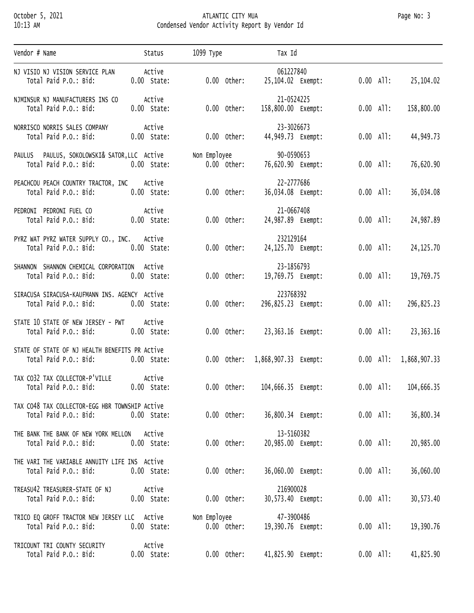## October 5, 2021 ATLANTIC CITY MUA Page No: 3 10:13 AM Condensed Vendor Activity Report By Vendor Id

| Vendor # Name                                                           | Status                  | 1099 Туре                     | Tax Id                           |             |                          |
|-------------------------------------------------------------------------|-------------------------|-------------------------------|----------------------------------|-------------|--------------------------|
| NJ VISIO NJ VISION SERVICE PLAN<br>Total Paid P.O.: Bid:                | Active<br>$0.00$ State: | $0.00$ Other:                 | 061227840<br>25,104.02 Exempt:   |             | $0.00$ All: 25,104.02    |
| NJMINSUR NJ MANUFACTURERS INS CO<br>Total Paid P.O.: Bid:               | Active<br>$0.00$ State: | $0.00$ Other:                 | 21-0524225<br>158,800.00 Exempt: | $0.00$ All: | 158,800.00               |
| NORRISCO NORRIS SALES COMPANY<br>Total Paid P.O.: Bid:                  | Active<br>$0.00$ State: | $0.00$ Other:                 | 23-3026673<br>44,949.73 Exempt:  | $0.00$ All: | 44,949.73                |
| PAULUS PAULUS, SOKOLOWSKI& SATOR, LLC Active<br>Total Paid P.O.: Bid:   | 0.00 State:             | Non Employee<br>$0.00$ Other: | 90-0590653<br>76,620.90 Exempt:  | $0.00$ All: | 76,620.90                |
| PEACHCOU PEACH COUNTRY TRACTOR, INC Active<br>Total Paid P.O.: Bid:     | $0.00$ State:           | $0.00$ Other:                 | 22-2777686<br>36,034.08 Exempt:  | $0.00$ All: | 36,034.08                |
| PEDRONI PEDRONI FUEL CO<br>Total Paid P.O.: Bid: 0.00 State:            | Active                  | $0.00$ Other:                 | 21-0667408<br>24,987.89 Exempt:  | $0.00$ All: | 24,987.89                |
| PYRZ WAT PYRZ WATER SUPPLY CO., INC. Active<br>Total Paid P.O.: Bid:    | $0.00$ State:           | $0.00$ Other:                 | 232129164<br>24,125.70 Exempt:   | $0.00$ All: | 24, 125.70               |
| SHANNON SHANNON CHEMICAL CORPORATION Active<br>Total Paid P.O.: Bid:    | $0.00$ State:           | $0.00$ Other:                 | 23-1856793<br>19,769.75 Exempt:  | $0.00$ All: | 19,769.75                |
| SIRACUSA SIRACUSA-KAUFMANN INS. AGENCY Active<br>Total Paid P.O.: Bid:  | $0.00$ State:           | $0.00$ Other:                 | 223768392<br>296,825.23 Exempt:  | $0.00$ All: | 296,825.23               |
| STATE 10 STATE OF NEW JERSEY - PWT Active<br>Total Paid P.O.: Bid:      | 0.00 State:             | $0.00$ Other:                 | 23,363.16 Exempt:                | $0.00$ All: | 23,363.16                |
| STATE OF STATE OF NJ HEALTH BENEFITS PR ACtive<br>Total Paid P.O.: Bid: | 0.00 State:             | $0.00$ Other:                 |                                  |             | $0.00$ All: 1,868,907.33 |
| TAX CO32 TAX COLLECTOR-P'VILLE<br>Total Paid P.O.: Bid: 0.00 State:     | Active                  | $0.00$ Other:                 | 104,666.35 Exempt:               | $0.00$ All: | 104,666.35               |
| TAX CO48 TAX COLLECTOR-EGG HBR TOWNSHIP ACtive<br>Total Paid P.O.: Bid: | $0.00$ State:           | $0.00$ Other:                 | 36,800.34 Exempt:                | $0.00$ All: | 36,800.34                |
| THE BANK THE BANK OF NEW YORK MELLON ACTIVE<br>Total Paid P.O.: Bid:    | $0.00$ State:           | $0.00$ Other:                 | 13-5160382<br>20,985.00 Exempt:  | $0.00$ All: | 20,985.00                |
| THE VARI THE VARIABLE ANNUITY LIFE INS ACtive<br>Total Paid P.O.: Bid:  | $0.00$ State:           | $0.00$ Other:                 | 36,060.00 Exempt:                | $0.00$ All: | 36,060.00                |
| TREASU42 TREASURER-STATE OF NJ<br>Total Paid P.O.: Bid:                 | Active<br>$0.00$ State: | $0.00$ Other:                 | 216900028<br>30,573.40 Exempt:   | $0.00$ All: | 30,573.40                |
| TRICO EQ GROFF TRACTOR NEW JERSEY LLC Active<br>Total Paid P.O.: Bid:   | $0.00$ State:           | Non Employee<br>$0.00$ Other: | 47-3900486<br>19,390.76 Exempt:  | $0.00$ All: | 19,390.76                |
| TRICOUNT TRI COUNTY SECURITY<br>Total Paid P.O.: Bid:                   | Active<br>$0.00$ State: | $0.00$ Other:                 | 41,825.90 Exempt:                | $0.00$ All: | 41,825.90                |